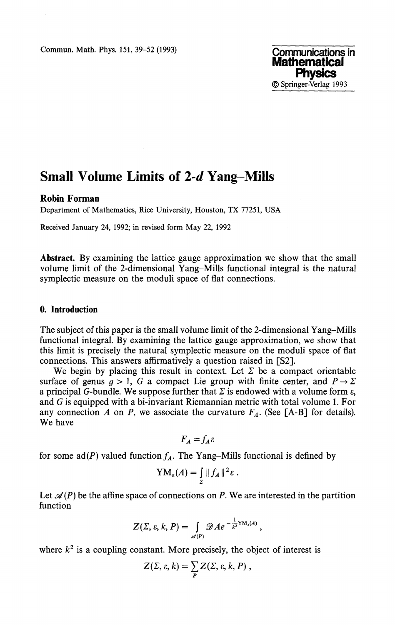**Commun. Math. Phys. 151, 39–52 (1993) Communications in** 

# **Small Volume Limits of** *2-d* **Yang-Mills**

#### **Robin Forman**

Department of Mathematics, Rice University, Houston, TX 77251, USA

Received January 24, 1992; in revised form May 22, 1992

**Abstract.** By examining the lattice gauge approximation we show that the small volume limit of the 2-dimensional Yang-Mills functional integral is the natural symplectic measure on the moduli space of flat connections.

### **0. Introduction**

The subject of this paper is the small volume limit of the 2-dimensional Yang-Mills functional integral. By examining the lattice gauge approximation, we show that this limit is precisely the natural symplectic measure on the moduli space of flat connections. This answers affirmatively a question raised in [S2].

We begin by placing this result in context. Let  $\Sigma$  be a compact orientable surface of genus  $g > 1$ , G a compact Lie group with finite center, and  $P \rightarrow \Sigma$ a principal G-bundle. We suppose further that  $\Sigma$  is endowed with a volume form  $\varepsilon$ , and *G* is equipped with a bi-invariant Riemannian metric with total volume 1. For any connection  $A$  on  $P$ , we associate the curvature  $F_A$ . (See [A-B] for details). We have

$$
F_A = f_A \varepsilon
$$

for some  $ad(P)$  valued function  $f_A$ . The Yang-Mills functional is defined by

$$
YM_{\varepsilon}(A)=\int_{\Sigma}||f_A||^2\varepsilon.
$$

Let  $\mathcal{A}(P)$  be the affine space of connections on P. We are interested in the partition function

$$
Z(\Sigma,\varepsilon,k,P)=\int\limits_{\mathscr{A}(P)}\mathscr{D}Ae^{-\frac{1}{k^2}\mathrm{YM}_{\varepsilon}(A)},
$$

where  $k^2$  is a coupling constant. More precisely, the object of interest is

$$
Z(\Sigma, \varepsilon, k) = \sum_{P} Z(\Sigma, \varepsilon, k, P) ,
$$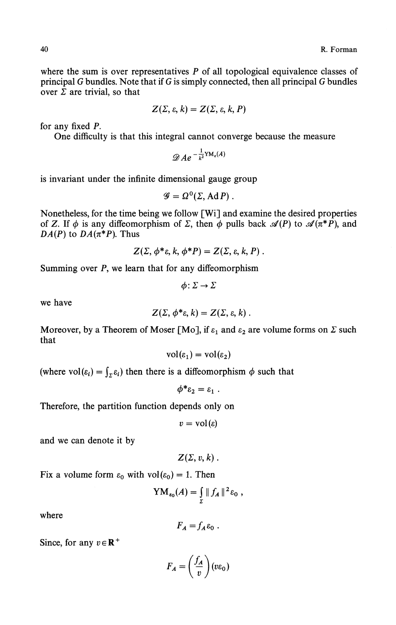where the sum is over representatives  $P$  of all topological equivalence classes of principal *G* bundles. Note that if *G* is simply connected, then all principal G bundles over  $\Sigma$  are trivial, so that

$$
Z(\Sigma,\varepsilon,k)=Z(\Sigma,\varepsilon,k,P)
$$

for any fixed P.

One difficulty is that this integral cannot converge because the measure

$$
\mathscr{D}Ae^{-\frac{1}{k^2}YM_{\varepsilon}(A)}
$$

is invariant under the infinite dimensional gauge group

$$
\mathscr{G}=\Omega^0(\Sigma,\operatorname{Ad}P)\ .
$$

Nonetheless, for the time being we follow [Wi] and examine the desired properties of Z. If  $\phi$  is any diffeomorphism of  $\Sigma$ , then  $\phi$  pulls back  $\mathscr{A}(P)$  to  $\mathscr{A}(\pi^*P)$ , and *DA(P)* to  $DA(\pi^*P)$ . Thus

$$
Z(\Sigma, \phi^*\varepsilon, k, \phi^*P) = Z(\Sigma, \varepsilon, k, P).
$$

Summing over P, we learn that for any diffeomorphism

$$
\phi\colon \Sigma\to \Sigma
$$

we have

$$
Z(\Sigma, \phi^*\varepsilon, k) = Z(\Sigma, \varepsilon, k) .
$$

Moreover, by a Theorem of Moser [Mo], if *ε<sup>1</sup>* and *ε<sup>2</sup>* are volume forms on *Σ* such that

$$
vol(\varepsilon_1) = vol(\varepsilon_2)
$$

(where  $vol(\varepsilon_i) = \int_{\Sigma} \varepsilon_i$ ) then there is a diffeomorphism  $\phi$  such that

$$
\phi^* \varepsilon_2 = \varepsilon_1 .
$$

Therefore, the partition function depends only on

$$
v = \mathrm{vol}(\varepsilon)
$$

and we can denote it by

 $Z(\Sigma, v, k)$ .

Fix a volume form  $\varepsilon_0$  with  $vol(\varepsilon_0) = 1$ . Then

$$
YM_{\epsilon_0}(A)=\int\limits_{\Sigma}\|f_A\|^2\epsilon_0,
$$

where

$$
F_A = f_A \varepsilon_0.
$$

Since, for any  $v \in \mathbb{R}^+$ 

$$
F_A = \left(\frac{f_A}{v}\right)(v\epsilon_0)
$$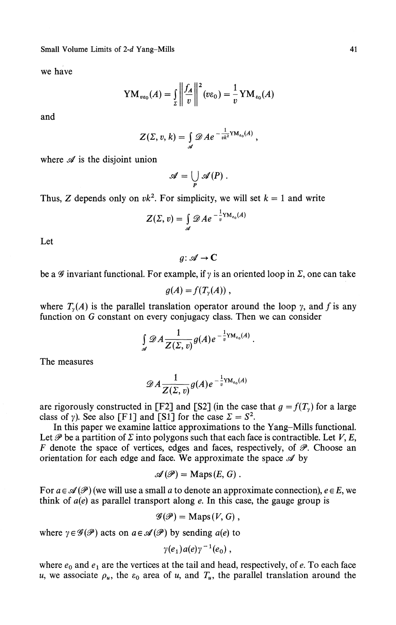**Small Volume Limits of** *2-ά* **Yang-Mills**

we have

$$
YM_{\nu\epsilon_0}(A) = \int\limits_{\Sigma} \left\| \frac{f_A}{v} \right\|^2 (v\epsilon_0) = \frac{1}{v} YM_{\epsilon_0}(A)
$$

and

$$
Z(\Sigma, v, k) = \int_{\mathscr{A}} \mathscr{D} A e^{-\frac{1}{vk^2} \mathrm{YM}_{\varepsilon_0}(A)},
$$

where  $\mathscr A$  is the disjoint union

$$
\mathscr{A}=\bigcup_P\mathscr{A}(P)\ .
$$

Thus, Z depends only on  $vk^2$ . For simplicity, we will set  $k = 1$  and write

$$
Z(\Sigma, v) = \int_{\mathscr{A}} \mathscr{D} A e^{-\frac{1}{v} \mathrm{YM}_{\epsilon_0}(A)}
$$

Let

 $q: \mathcal{A} \rightarrow \mathbb{C}$ 

be a  $\mathscr G$  invariant functional. For example, if  $\gamma$  is an oriented loop in  $\mathfrak L$ , one can take

$$
g(A)=f(T_{\gamma}(A))\ ,
$$

where  $T_{\gamma}(A)$  is the parallel translation operator around the loop  $\gamma$ , and f is any function on G constant on every conjugacy class. Then we can consider

$$
\int_{\mathscr{A}} \mathscr{D} A \frac{1}{Z(\Sigma,v)} g(A) e^{-\frac{1}{v} \mathrm{YM}_{\varepsilon_0}(A)}.
$$

The measures

$$
\mathscr{D}A\frac{1}{Z(\Sigma,v)} g(A)e^{-\frac{1}{v}\mathrm{YM}_{\varepsilon_{0}}(A)}
$$

are rigorously constructed in [F2] and [S2] (in the case that  $g = f(T<sub>y</sub>)$  for a large class of *γ*). See also [F1] and [S1] for the case  $\Sigma = S^2$ .

In this paper we examine lattice approximations to the Yang-Mills functional. Let  $\mathscr P$  be a partition of  $\Sigma$  into polygons such that each face is contractible. Let  $V, E$ , *F* denote the space of vertices, edges and faces, respectively, of  $\mathscr{P}$ . Choose an orientation for each edge and face. We approximate the space *si* by

$$
\mathscr{A}(\mathscr{P})=\mathrm{Maps}(E,G).
$$

For  $a \in \mathcal{A}(\mathcal{P})$  (we will use a small a to denote an approximate connection),  $e \in E$ , we think of *α(e)* as parallel transport along *e.* In this case, the gauge group is

$$
\mathscr{G}(\mathscr{P})=\mathrm{Maps}(V,G)\ ,
$$

where  $\gamma \in \mathcal{G}(\mathcal{P})$  acts on  $a \in \mathcal{A}(\mathcal{P})$  by sending  $a(e)$  to

$$
\gamma(e_1) a(e) \gamma^{-1}(e_0) ,
$$

where  $e_0$  and  $e_1$  are the vertices at the tail and head, respectively, of e. To each face *u*, we associate  $\rho$ <sub>*u*</sub>, the  $\varepsilon$ <sub>0</sub> area of *u*, and  $T$ <sub>*u*</sub>, the parallel translation around the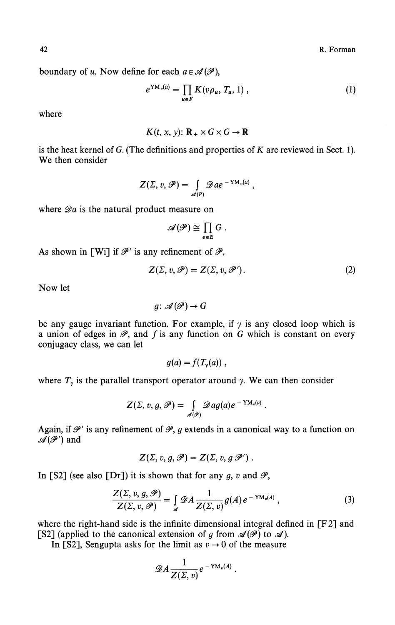42 **R. Forman** 

boundary of *u*. Now define for each  $a \in \mathcal{A}(\mathcal{P})$ ,

$$
e^{YM_{v}(a)} = \prod_{u \in F} K(v \rho_{u}, T_{u}, 1) , \qquad (1)
$$

where

$$
K(t, x, y) \colon \mathbf{R}_{+} \times G \times G \to \mathbf{R}
$$

is the heat kernel of G. (The definitions and properties of *K* are reviewed in Sect. 1). We then consider

$$
Z(\Sigma,\,v,\,\mathscr{P})=\int_{\mathscr{A}(P)}\mathscr{D}\,ae^{-\,\mathrm{YM}_{v}(a)}\,,
$$

where  $\mathscr{D}a$  is the natural product measure on

$$
\mathscr{A}(\mathscr{P})\cong \prod_{e\in E} G.
$$

As shown in [Wi] if  $\mathscr{P}'$  is any refinement of  $\mathscr{P}$ ,

$$
Z(\Sigma, v, \mathscr{P}) = Z(\Sigma, v, \mathscr{P}'). \tag{2}
$$

Now let

 $q: \mathcal{A}(\mathcal{P}) \rightarrow G$ 

be any gauge invariant function. For example, if *γ* is any closed loop which is a union of edges in  $\mathscr{P}$ , and  $f$  is any function on  $G$  which is constant on every conjugacy class, we can let

$$
g(a)=f(T_{\gamma}(a))\ ,
$$

where  $T_{\gamma}$  is the parallel transport operator around  $\gamma$ . We can then consider

$$
Z(\Sigma, v, g, \mathscr{P}) = \int_{\mathscr{A}(\mathscr{P})} \mathscr{D}ag(a) e^{-YM_{v}(a)}.
$$

Again, if  $\mathscr{P}'$  is any refinement of  $\mathscr{P}$ , g extends in a canonical way to a function on  $\mathscr{A}(\mathscr{P}')$  and

$$
Z(\Sigma, v, g, \mathscr{P}) = Z(\Sigma, v, g \mathscr{P}').
$$

In [S2] (see also [Dr]) it is shown that for any  $g$ ,  $v$  and  $\mathscr{P}$ ,

$$
\frac{Z(\Sigma, v, g, \mathscr{P})}{Z(\Sigma, v, \mathscr{P})} = \int_{\mathscr{A}} \mathscr{D}A \frac{1}{Z(\Sigma, v)} g(A) e^{-YM_v(A)}, \qquad (3)
$$

where the right-hand side is the infinite dimensional integral defined in [F2] and [S2] (applied to the canonical extension of g from  $\mathscr{A}(\mathscr{P})$  to  $\mathscr{A}$ ).

In [S2], Sengupta asks for the limit as  $v \rightarrow 0$  of the measure

$$
\mathscr{D} A \frac{1}{Z(\Sigma,v)} e^{-\mathop{\rm YM}_v(A)}.
$$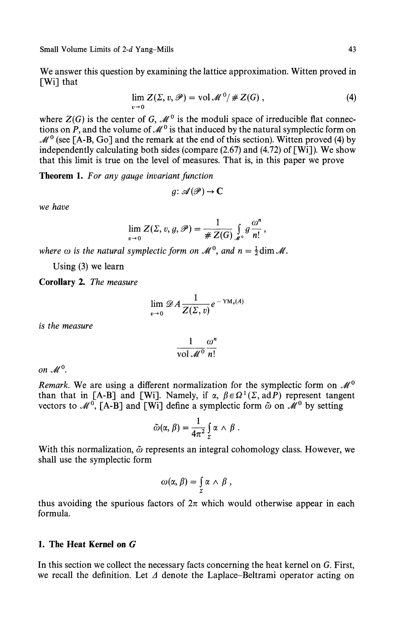Small Volume Limits of 2-d Yang-Mills 43

We answer this question by examining the lattice approximation. Witten proved in [Wi] that

$$
\lim_{v \to 0} Z(\Sigma, v, \mathcal{P}) = \text{vol } \mathcal{M}^0 / \# Z(G) , \qquad (4)
$$

where  $Z(G)$  is the center of G,  $\mathcal{M}^0$  is the moduli space of irreducible flat connections on  $\overline{P}$ , and the volume of  $\mathcal{M}^0$  is that induced by the natural symplectic form on  $M<sup>0</sup>$  (see [A-B, Go] and the remark at the end of this section). Witten proved (4) by independently calculating both sides (compare  $(2.67)$  and  $(4.72)$  of [Wi]). We show that this limit is true on the level of measures. That is, in this paper we prove

**Theorem 1.** *For any gauge invariant function*

$$
g\colon \mathscr{A}(\mathscr{P}) \to \mathbf{C}
$$

*we have*

$$
\lim_{v\to 0} Z(\Sigma, v, g, \mathscr{P}) = \frac{1}{\# Z(G)} \int_{\mathcal{M}^0} g \frac{\omega^n}{n!},
$$

*where*  $\omega$  *is the natural symplectic form on*  $\mathcal{M}^{\circ}$ *, and n =*  $\frac{1}{2}$ *dim*  $\mathcal{M}$ *.* 

Using (3) we learn

**Corollary 2.** *The measure*

$$
\lim_{v\to 0}\mathscr{D} A\frac{1}{Z(\Sigma,v)}e^{-\mathrm{YM}_v(A)}
$$

*is the measure*

$$
\frac{1}{\text{vol }\mathcal{M}^0}\frac{\omega^n}{n!}
$$

on  $M^0$ .

*Remark.* We are using a different normalization for the symplectic form on  $\mathcal{M}^0$ than that in [A-B] and [Wi]. Namely, if  $\alpha$ ,  $\beta \in \Omega^1(\Sigma, adP)$  represent tangent vectors to  $\mathcal{M}^0$ , [A-B] and [Wi] define a symplectic form  $\tilde{\omega}$  on  $\mathcal{M}^0$  by setting

$$
\tilde{\omega}(\alpha,\beta)=\frac{1}{4\pi^2}\int_{\Sigma}\alpha\wedge\beta.
$$

With this normalization, *ώ* represents an integral cohomology class. However, we shall use the symplectic form

$$
\omega(\alpha, \beta) = \int_{\Sigma} \alpha \wedge \beta ,
$$

thus avoiding the spurious factors of  $2\pi$  which would otherwise appear in each formula.

#### **1. The Heat Kernel on** *G*

In this section we collect the necessary facts concerning the heat kernel on G. First, we recall the definition. Let *Δ* denote the Laplace-Beltrami operator acting on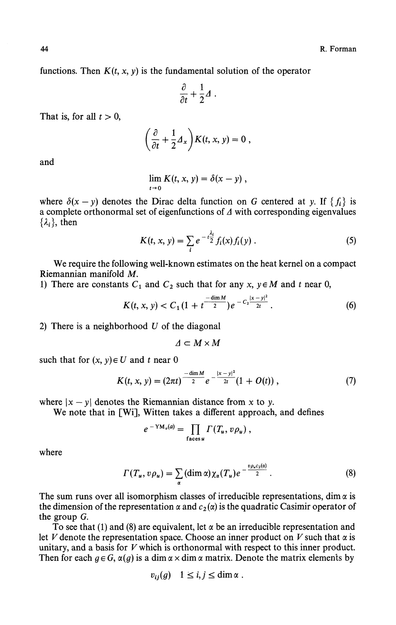functions. Then  $K(t, x, y)$  is the fundamental solution of the operator

$$
\frac{\partial}{\partial t} + \frac{1}{2} \Delta \; .
$$

That is, for all  $t > 0$ ,

$$
\left(\frac{\partial}{\partial t} + \frac{1}{2}A_x\right)K(t, x, y) = 0,
$$

and

$$
\lim_{t\to 0} K(t,x,y)=\delta(x-y)\,,
$$

where  $\delta(x - y)$  denotes the Dirac delta function on G centered at y. If  $\{f_i\}$  is a complete orthonormal set of eigenfunctions of *A* with corresponding eigenvalues *{λi},* then

$$
K(t, x, y) = \sum_{i} e^{-t \frac{\lambda_i}{2}} f_i(x) f_i(y) .
$$
 (5)

We require the following well-known estimates on the heat kernel on a compact Riemannian manifold *M*.

1) There are constants  $C_1$  and  $C_2$  such that for any  $x, y \in M$  and t near 0,

$$
K(t, x, y) < C_1 \left(1 + t^{\frac{-\dim M}{2}}\right) e^{-C_2 \frac{|x - y|^2}{2t}} \,. \tag{6}
$$

2) There is a neighborhood *U* of the diagonal

$$
\varDelta\subset M\times M
$$

such that for  $(x, y) \in U$  and t near 0

$$
K(t, x, y) = (2\pi t)^{\frac{-\dim M}{2}} e^{-\frac{|x - y|^2}{2t}} (1 + O(t)), \qquad (7)
$$

where  $|x - y|$  denotes the Riemannian distance from x to y.

We note that in [Wi], Witten takes a different approach, and defines

$$
e^{-\mathrm{YM}_{v}(a)}=\prod_{\text{faces }u}\Gamma(T_{u},v\rho_{u}),
$$

where

$$
\Gamma(T_u, v\rho_u) = \sum_{\alpha} (\dim \alpha) \chi_{\alpha}(T_u) e^{-\frac{v\rho_u c_2(\alpha)}{2}}.
$$
 (8)

 $\lambda$ 

The sum runs over all isomorphism classes of irreducible representations, dim  $\alpha$  is the dimension of the representation  $\alpha$  and  $c_2(\alpha)$  is the quadratic Casimir operator of the group G.

To see that (1) and (8) are equivalent, let  $\alpha$  be an irreducible representation and let *V* denote the representation space. Choose an inner product on V such that  $\alpha$  is unitary, and a basis for *V* which is orthonormal with respect to this inner product. Then for each  $g \in G$ ,  $\alpha(g)$  is a dim  $\alpha \times$  dim  $\alpha$  matrix. Denote the matrix elements by

$$
v_{ij}(g) \quad 1 \leq i, j \leq \dim \alpha \; .
$$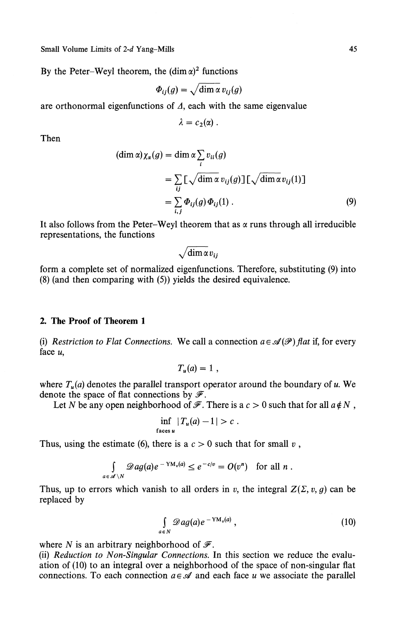Small Volume Limits of *2-ά* Yang-Mills 45

By the Peter–Weyl theorem, the  $(\dim \alpha)^2$  functions

$$
\Phi_{ij}(g) = \sqrt{\dim \alpha} \, v_{ij}(g)
$$

are orthonormal eigenfunctions of  $\Delta$ , each with the same eigenvalue

$$
\lambda = c_2(\alpha) .
$$

Then

$$
(\dim \alpha)\chi_{\alpha}(g) = \dim \alpha \sum_{i} v_{ii}(g)
$$
  
=  $\sum_{ij} [\sqrt{\dim \alpha} v_{ij}(g)] [\sqrt{\dim \alpha} v_{ij}(1)]$   
=  $\sum_{i,j} \Phi_{ij}(g) \Phi_{ij}(1)$ . (9)

It also follows from the Peter-Weyl theorem that as  $\alpha$  runs through all irreducible representations, the functions

$$
\sqrt{\dim \alpha v_{ij}}
$$

form a complete set of normalized eigenfunctions. Therefore, substituting (9) into (8) (and then comparing with (5)) yields the desired equivalence.

#### **2. The Proof of Theorem 1**

(i) *Restriction to Flat Connections.* We call a connection  $a \in \mathcal{A}(\mathcal{P})$  flat if, for every face u,

$$
T_u(a)=1,
$$

where *T<sup>u</sup> (a)* denotes the parallel transport operator around the boundary of *u.* We denote the space of flat connections by  $\mathscr{F}$ .

Let *N* be any open neighborhood of  $\mathscr F$ . There is a  $c > 0$  such that for all  $a \notin N$ ,

$$
\inf_{\text{faces } u} |T_u(a) - 1| > c.
$$

Thus, using the estimate (6), there is a  $c > 0$  such that for small v,

$$
\int_{a\in\mathscr{A}\setminus N}\mathscr{D}ag(a)e^{-\mathrm{YM}_v(a)} \leq e^{-c/v} = O(v^n) \text{ for all } n.
$$

Thus, up to errors which vanish to all orders in *v*, the integral  $Z(\Sigma, v, g)$  can be replaced by

$$
\int_{a \in N} \mathscr{D}ag(a)e^{-YM_{\nu}(a)}, \qquad (10)
$$

where *N* is an arbitrary neighborhood of  $\mathcal{F}$ .

(ii) *Reduction to Non-Singular Connections.* In this section we reduce the evalu ation of (10) to an integral over a neighborhood of the space of non-singular flat connections. To each connection  $a \in \mathcal{A}$  and each face *u* we associate the parallel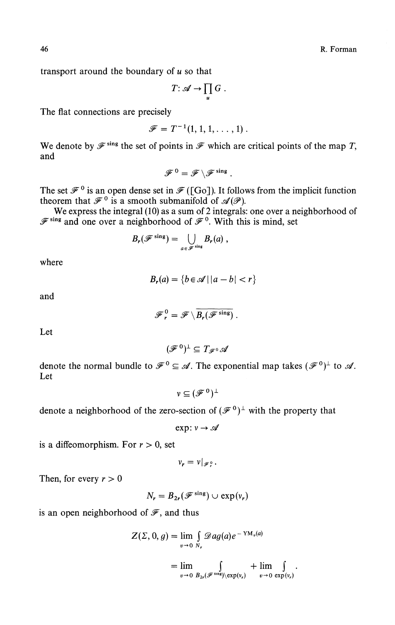46 R. Forman

transport around the boundary of *u* so that

$$
T: \mathscr{A} \to \prod_u G.
$$

The flat connections are precisely

$$
\mathscr{F}=T^{-1}(1,1,1,\ldots,1).
$$

We denote by  $\mathscr{F}^{\text{sing}}$  the set of points in  $\mathscr{F}$  which are critical points of the map T, and

$$
\mathscr{F}^0=\mathscr{F}\setminus \mathscr{F}^{\,\rm sing}\;.
$$

The set  $\mathscr{F}^0$  is an open dense set in  $\mathscr{F}$  ([Go]). It follows from the implicit function theorem that  $\mathscr{F}^0$  is a smooth submanifold of  $\mathscr{A}(P)$ .

We express the integral (10) as a sum of 2 integrals: one over a neighborhood of  $\mathscr{F}^{\text{sing}}$  and one over a neighborhood of  $\mathscr{F}^0$ . With this is mind, set

$$
B_{r}(\mathscr{F}^{\,\mathrm{sing}})=\bigcup_{a\,\in\,\mathscr{F}^{\,\mathrm{sing}}}B_{r}(a)\ ,
$$

where

$$
B_r(a) = \{b \in \mathcal{A} \mid |a - b| < r\}
$$

and

$$
\mathscr{F}_r^0 = \mathscr{F} \setminus \overline{B_r(\mathscr{F}^{\rm sing})}
$$

Let

$$
(\mathscr{F}^0)^{\perp} \subseteq T_{\mathscr{F}^0}\mathscr{A}
$$

denote the normal bundle to  $\mathscr{F}^0 \subseteq \mathscr{A}$ . The exponential map takes  $(\mathscr{F}^0)^{\perp}$  to Let

$$
v\subseteq (\mathscr{F}^0)^\perp
$$

denote a neighborhood of the zero-section of 
$$
(\mathcal{F}^0)^{\perp}
$$
 with the property that

exp:  $v \rightarrow \mathscr{A}$ 

is a diffeomorphism. For  $r > 0$ , set

$$
v_r = v|_{\mathscr{F}^0}.
$$

Then, for every  $r > 0$ 

$$
N_r = B_{2r}(\mathcal{F}^{\text{sing}}) \cup \exp(v_r)
$$

is an open neighborhood of  $\mathscr{F}$ , and thus

$$
Z(\Sigma, 0, g) = \lim_{v \to 0} \int_{N_r} \mathcal{D}ag(a)e^{-YM_v(a)}
$$
  
= 
$$
\lim_{v \to 0} \int_{B_{2r}(\mathcal{F}^{\sin\theta})\backslash \exp(v_r)} + \lim_{v \to 0} \int_{\exp(v_r)}.
$$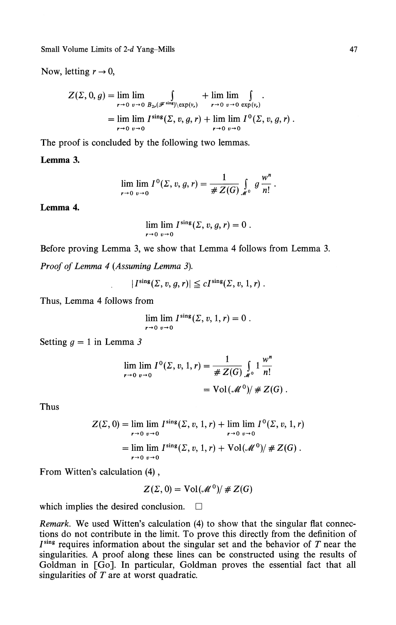Small Volume Limits of *2-ά* Yang-Mills 47

Now, letting  $r \to 0$ ,

$$
Z(\Sigma, 0, g) = \lim_{r \to 0} \lim_{v \to 0} \int_{B_{2r}(\mathscr{F}^{\sin s}) \setminus \exp(v_r)} + \lim_{r \to 0} \lim_{v \to 0} \int_{\exp(v_r)}.
$$
  
= 
$$
\lim_{r \to 0} \lim_{v \to 0} I^{\sin s}(\Sigma, v, g, r) + \lim_{r \to 0} \lim_{v \to 0} I^0(\Sigma, v, g, r).
$$

The proof is concluded by the following two lemmas.

## **Lemma 3.**

$$
\lim_{r \to 0} \lim_{v \to 0} I^{0}(\Sigma, v, g, r) = \frac{1}{\# Z(G)} \int_{\mathcal{M}^{0}} g \frac{w^{n}}{n!}.
$$

**Lemma 4.**

$$
\lim_{r\to 0}\lim_{v\to 0}I^{\text{sing}}(\Sigma,v,g,r)=0
$$

Before proving Lemma 3, we show that Lemma 4 follows from Lemma 3.

*Proof of Lemma 4 (Assuming Lemma 3).*

$$
|I^{\text{sing}}(\Sigma, v, g, r)| \leq c I^{\text{sing}}(\Sigma, v, 1, r) .
$$

Thus, Lemma 4 follows from

$$
\lim_{r\to 0}\lim_{v\to 0}I^{\rm sing}(\Sigma,v,1,r)=0.
$$

Setting  $q = 1$  in Lemma 3

$$
\lim_{r \to 0} \lim_{v \to 0} I^{0}(\Sigma, v, 1, r) = \frac{1}{\# Z(G)} \int_{\mathcal{M}^{0}} 1 \frac{w^{n}}{n!}
$$

$$
= \text{Vol}(\mathcal{M}^{0}) / \# Z(G) .
$$

Thus

$$
Z(\Sigma, 0) = \lim_{r \to 0} \lim_{v \to 0} I^{\text{sing}}(\Sigma, v, 1, r) + \lim_{r \to 0} \lim_{v \to 0} I^0(\Sigma, v, 1, r)
$$

$$
= \lim_{r \to 0} \lim_{v \to 0} I^{\text{sing}}(\Sigma, v, 1, r) + \text{Vol}(\mathcal{M}^0)/\#Z(G) .
$$

From Witten's calculation (4),

$$
Z(\Sigma,0) = \text{Vol}(\mathcal{M}^0)/\# Z(G)
$$

which implies the desired conclusion.  $\Box$ 

*Remark.* We used Witten's calculation (4) to show that the singular flat connections do not contribute in the limit. To prove this directly from the definition of  $I<sup>sing</sup>$  requires information about the singular set and the behavior of  $T$  near the singularities. A proof along these lines can be constructed using the results of Goldman in [Go]. In particular, Goldman proves the essential fact that all singularities of *T* are at worst quadratic.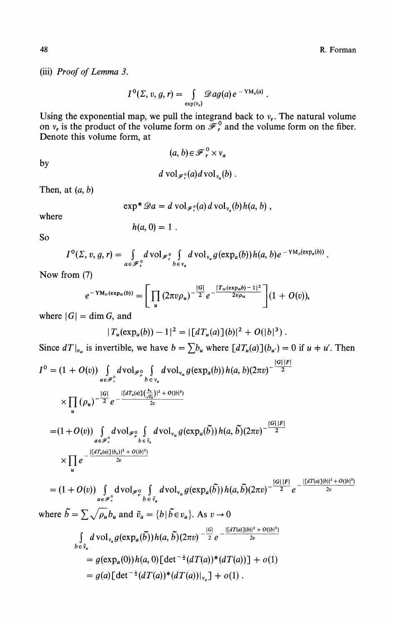**(iii)** *Proof of Lemma 3.*

$$
I^{0}(\Sigma, v, g, r) = \int_{\exp(v_{r})} \mathscr{D}ag(a) e^{-YM_{v}(a)}.
$$

Using the exponential map, we pull the integrand back to  $v_r$ . The natural volume on  $v_r$  is the product of the volume form on  $\mathscr{F}_r^0$  and the volume form on the fiber. Denote this volume form, at

$$
(a, b) \in \mathscr{F}_r^0 \times v_a
$$

by

*d* vol<sub> $\mathscr{F}$ </sub><sup>o</sup> $(a)$ *d* vol<sub> $\nu$ </sub> $(b)$ .

Then, at *(a,b)*

$$
\exp^* \mathscr{D}a = d \operatorname{vol}_{\mathscr{F}_r^0}(a) d \operatorname{vol}_{v_a}(b) h(a, b) ,
$$

where

$$
h(a, 0) = 1.
$$

So

$$
I^{0}(\Sigma, v, g, r) = \int_{a \in \mathscr{F}^0_r} d\operatorname{vol}_{\mathscr{F}^0_r} \int_{b \in v_a} d\operatorname{vol}_{v_a} g(\exp_a(b)) h(a, b) e^{-\operatorname{YM}_v(\exp_a(b))}.
$$

Now from (7)

$$
e^{-\mathsf{YM}_{v}(\exp_{a}(b))} = \left[ \prod_{u} (2\pi v \rho_{u})^{-\frac{|G|}{2}} e^{-\frac{|T_{u}(\exp_{a}b)-1|^{2}}{2v\rho_{u}}}\right] (1+O(v)),
$$

where  $|G| = \dim G$ , and

$$
|T_u(\exp_a(b))-1|^2=|[dT_u(a)](b)|^2+O(|b|^3).
$$

Since 
$$
dT|_{v_a}
$$
 is invertible, we have  $b = \sum b_u$  where  $[dT_u(a)](b_{u'}) = 0$  if  $u \neq u'$ . Then  
\n
$$
I^0 = (1 + O(v)) \int_{a \in \mathcal{F}_r^0} dvol_{\mathcal{F}_{\rho}^0} \int_{b = v_a} dvol_{v_a} g(\exp_a(b)) h(a, b) (2\pi v)^{-\frac{|G||F|}{2}}
$$
\n
$$
\times \prod_u (\rho_u)^{-\frac{|G|}{2}} e^{-\frac{|[dT_u(a)](\frac{b_u}{\sqrt{\rho_u}})|^2 + O(|b|^3)}{2v}}
$$
\n
$$
= (1 + O(v)) \int_{a \in \mathcal{F}_r^0} dvol_{\mathcal{F}_{\rho}^0} \int_{b = \bar{v}_a} dvol_{v_a} g(\exp_a(\tilde{b})) h(a, \tilde{b}) (2\pi v)^{-\frac{|G||F|}{2}}
$$
\n
$$
\times \prod_u e^{-\frac{|[dT_u(a)](b_u)|^2 + O(|b|^3)}{2v}}
$$
\n
$$
(1 + O(v)) \int_{u} dvol_{u} \int_{c} dvol_{u} g(\exp_a(\tilde{b})) h(c, \tilde{b})(2\pi v)^{-\frac{|G||F|}{2}} e^{-\frac{|[dT(u)](b)|^2 + O(|b|^3)}{2v}}
$$

 $O(v)$ )  $\int_{\mathbb{R}^n} dvol_{\mathscr{F}_{\nu}^0} \int_{\mathbb{R}^n} dvol_{\nu_a} g(\exp_a(b)) h(a,b)(2\pi v)^{-\frac{2}{2}} e^{-\frac{2\pi i}{2}}$ where  $\vec{b} = \sum \sqrt{\rho_u b_u}$  and  $\vec{v}_a = \{b | \vec{b} \in v_a\}$ . As  $v \to 0$ **J** *beva* $= g(a) \left[ \det^{-\frac{1}{2}} (dT(a))^* (dT(a))|_{v_a} \right] + o(1)$ .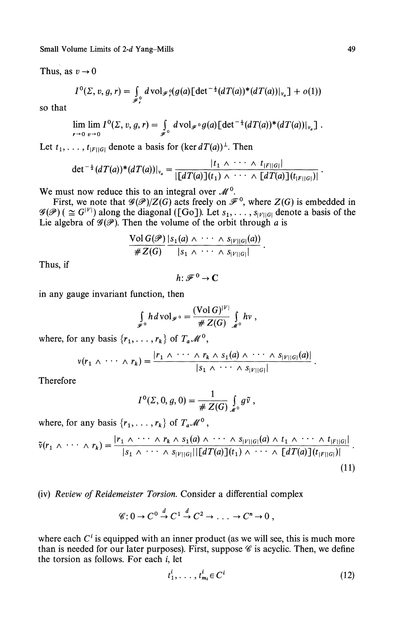Small Volume Limits of *2-d* Yang-Mills 49

Thus, as  $v \rightarrow 0$ 

$$
I^{0}(\Sigma, v, g, r) = \int_{\mathscr{F}_{r}} d \operatorname{vol}_{\mathscr{F}_{r}}(g(a) \big[ \det^{-\frac{1}{2}}(dT(a))^{*}(dT(a))|_{v_{a}} \big] + o(1))
$$

so that

$$
\lim_{r\to 0}\lim_{v\to 0}I^0(\Sigma,\,v,\,g,\,r)=\int_{\mathscr{F}^0}d\operatorname{vol}_{\mathscr{F}^0}g(a)\big[\det^{-\frac{1}{2}}(dT(a))^*(dT(a))|_{\nu_a}\big].
$$

Let  $t_1, \ldots, t_{|F||G|}$  denote a basis for  $(\ker dT(a))^{\perp}$ . Then

$$
\det^{-\frac{1}{2}}(dT(a))^*(dT(a))|_{v_a}=\frac{|t_1 \wedge \cdots \wedge t_{|F||G|}|}{\left| \left[ dT(a) \right](t_1) \wedge \cdots \wedge \left[ dT(a) \right](t_{|F||G|})\right|}.
$$

We must now reduce this to an integral over  $\mathcal{M}^0$ .

First, we note that  $\mathscr{G}(\mathscr{P})/Z(G)$  acts freely on  $\mathscr{F}^0$ , where  $Z(G)$  is embedded in  $\mathscr{G}(\mathscr{P})$  ( $\cong G^{|V|}$ ) along the diagonal ([Go]). Let  $s_1, \ldots, s_{|V||G|}$  denote a basis of the Lie algebra of  $\mathscr{G}(\mathscr{P})$ . Then the volume of the orbit through *a* is

$$
\frac{\text{Vol }G(\mathscr{P})}{\#Z(G)}\frac{|s_1(a) \wedge \cdots \wedge s_{|V||G|}(a)|}{|s_1 \wedge \cdots \wedge s_{|V||G|}|}
$$

Thus, if

 $h: \mathscr{F}^0 \to \mathbb{C}$ 

in any gauge invariant function, then

$$
\int_{\mathscr{F}^0} h d\operatorname{vol}_{\mathscr{F}^0} = \frac{(\operatorname{Vol} G)^{|V|}}{\# Z(G)} \int_{\mathscr{M}^0} hv,
$$

where, for any basis  $\{r_1, \ldots, r_k\}$  of  $T_a \mathcal{M}^0$ ,

$$
v(r_1 \wedge \cdots \wedge r_k) = \frac{|r_1 \wedge \cdots \wedge r_k \wedge s_1(a) \wedge \cdots \wedge s_{|V||G|}(a)|}{|s_1 \wedge \cdots \wedge s_{|V||G|}|}.
$$

Therefore

$$
I^{0}(\Sigma, 0, g, 0) = \frac{1}{\# Z(G)} \int_{\mathcal{M}^{0}} g\tilde{v},
$$

where, for any basis  $\{r_1, \ldots, r_k\}$  of  $T_a \mathcal{M}^0$ ,

$$
\tilde{v}(r_1 \wedge \cdots \wedge r_k) = \frac{|r_1 \wedge \cdots \wedge r_k \wedge s_1(a) \wedge \cdots \wedge s_{|V||G|} |a) \wedge t_1 \wedge \cdots \wedge t_{|F||G|}|}{|s_1 \wedge \cdots \wedge s_{|V||G|}|\lfloor dT(a)\rfloor(t_1) \wedge \cdots \wedge \lfloor dT(a)\rfloor(t_{|F||G|})|}.
$$
\n(11)

(iv) *Review of Reidemeister Torsion.* Consider a differential complex

$$
\mathscr{C}: 0 \to C^0 \stackrel{d}{\to} C^1 \stackrel{d}{\to} C^2 \to \ldots \to C^n \to 0 ,
$$

where each  $C<sup>i</sup>$  is equipped with an inner product (as we will see, this is much more than is needed for our later purposes). First, suppose  $\mathscr C$  is acyclic. Then, we define the torsion as follows. For each  $i$ , let

$$
t_1^i, \ldots, t_{m_i}^i \in C^i \tag{12}
$$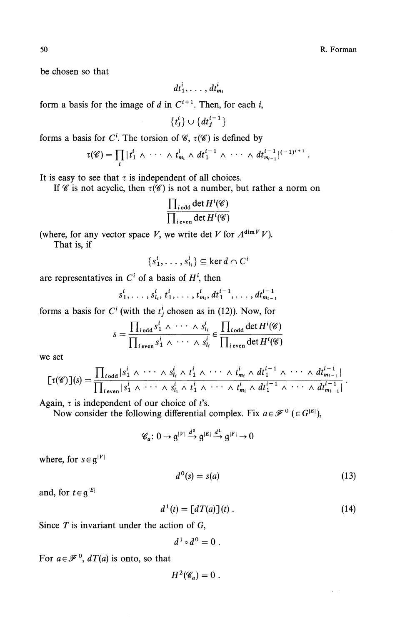50 R. Forman R. Forman R. Forman R. Forman R. Forman R. Forman R. Forman R. Forman R. Forman R. Forman R. Forman R. Forman R. Forman R. Forman R. Forman R. Forman R. Forman R. Forman R. Forman R. Forman R. Forman R. Forman

be chosen so that

$$
dt_1^i,\ldots, dt_{m_i}^i
$$

form a basis for the image of  $d$  in  $C^{i+1}$ . Then, for each  $i$ ,

 $\{t_i^i\} \cup \{dt_i^{i-1}\}\$ 

forms a basis for C<sup>i</sup>. The torsion of  $\mathscr{C}$ ,  $\tau(\mathscr{C})$  is defined by

$$
\tau(\mathscr{C}) = \prod_i |t_1^i \wedge \cdots \wedge t_{m_i}^i \wedge dt_1^{i-1} \wedge \cdots \wedge dt_{m_{i-1}}^{i-1}|^{(-1)^{i+1}}
$$

It is easy to see that  $\tau$  is independent of all choices.

If  $\mathscr C$  is not acyclic, then  $\tau(\mathscr C)$  is not a number, but rather a norm on

$$
\frac{\prod_{i \text{ odd}} \det H^i(\mathscr{C})}{\prod_{i \text{ even}} \det H^i(\mathscr{C})}
$$

(where, for any vector space V, we write det V for  $\Lambda^{\dim V} V$ ).

That is, if

$$
\{s_1^i, \ldots, s_{l_i}^i\} \subseteq \ker d \cap C^i
$$

are representatives in  $C<sup>i</sup>$  of a basis of  $H<sup>i</sup>$ , then

$$
s_1^i, \ldots, s_{i_i}^i, t_1^i, \ldots, t_{m_i}^i, dt_1^{i-1}, \ldots, dt_{m_{i-1}}^{i-1}
$$

forms a basis for  $C^i$  (with the  $t_j^i$  chosen as in (12)). Now, for

$$
s = \frac{\prod_{i \text{ odd}} s_1^i \wedge \cdots \wedge s_{l_i}^i}{\prod_{i \text{ even}} s_1^i \wedge \cdots \wedge s_{l_i}^i} \in \frac{\prod_{i \text{ odd}} \det H^i(\mathscr{C})}{\prod_{i \text{ even}} \det H^i(\mathscr{C})}
$$

we set

$$
[\tau(\mathscr{C})](s)=\frac{\prod_{i\text{ odd}}|s_1^i \wedge \cdots \wedge s_{l_i}^i \wedge t_1^i \wedge \cdots \wedge t_{m_i}^i \wedge dt_1^{i-1} \wedge \cdots \wedge dt_{m_{i-1}}^{i-1}|}{\prod_{i\text{ even}}|s_1^i \wedge \cdots \wedge s_{l_i}^i \wedge t_1^i \wedge \cdots \wedge t_{m_i}^i \wedge dt_1^{i-1} \wedge \cdots \wedge dt_{m_{i-1}}^{i-1}|}.
$$

Again,  $\tau$  is independent of our choice of *t*'s.

Now consider the following differential complex. Fix  $a \in \mathcal{F}^0 \in G^{|E|}$ ),

$$
\mathscr{C}_a\colon 0\to \mathfrak{g}^{|V|}\xrightarrow{d^0}\mathfrak{g}^{|E|}\xrightarrow{d^1}\mathfrak{g}^{|F|}\to 0
$$

where, for  $s \in g^{|V|}$ 

$$
d^0(s) = s(a) \tag{13}
$$

and, for  $t \in \mathfrak{g}^{|E|}$ 

$$
d^1(t) = \left[dT(a)\right](t) \tag{14}
$$

Since T is invariant under the action of G,

$$
d^1\circ d^0=0.
$$

For  $a \in \mathcal{F}^0$ ,  $dT(a)$  is onto, so that

$$
H^2(\mathscr{C}_a)=0.
$$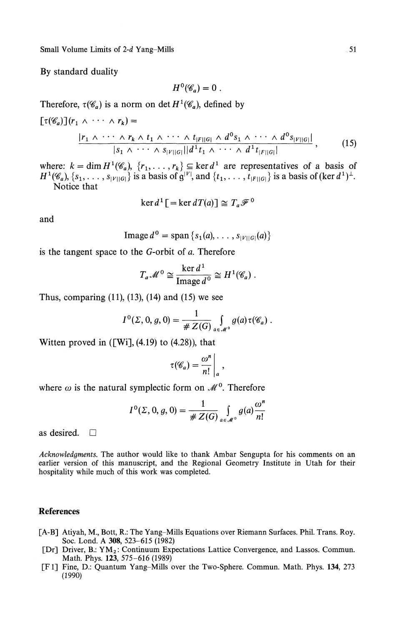Small Volume Limits of 2-d Yang-Mills 51

By standard duality

$$
H^0(\mathscr{C}_a)=0.
$$

Therefore,  $\tau(\mathscr{C}_a)$  is a norm on det  $H^1(\mathscr{C}_a)$ , defined by

$$
[\tau(\mathscr{C}_{a})](r_{1} \wedge \cdots \wedge r_{k}) =
$$
\n
$$
\frac{|r_{1} \wedge \cdots \wedge r_{k} \wedge t_{1} \wedge \cdots \wedge t_{|F||G|} \wedge d^{0}s_{1} \wedge \cdots \wedge d^{0}s_{|V||G|}|}{|s_{1} \wedge \cdots \wedge s_{|V||G|}|| d^{1}t_{1} \wedge \cdots \wedge d^{1}t_{|F||G|}|},
$$
\n(15)

where:  $k = \dim H^1(\mathscr{C}_a)$ ,  $\{r_1, \ldots, r_k\} \subseteq \ker d^1$  are representatives of a basis of  $H^1(\mathscr{C}_a), \{s_1, \ldots, s_{|V||G|}\}\$ is a basis of  $g^{|V|}$ , and  $\{t_1, \ldots, t_{|F||G|}\}\$ is a basis of  $(\ker d^1)^{\perp}$ . Notice that

$$
\ker d^1 \left[ = \ker dT(a) \right] \cong T_a \mathscr{F}^0
$$

and

$$
\text{Image } d^0 = \text{span} \left\{ s_1(a), \ldots, s_{|V||G|}(a) \right\}
$$

is the tangent space to the G-orbit of *a.* Therefore

$$
T_a \mathscr{M}^0 \cong \frac{\ker d^1}{\text{Image } d^0} \cong H^1(\mathscr{C}_a) .
$$

Thus, comparing  $(11)$ ,  $(13)$ ,  $(14)$  and  $(15)$  we see

$$
I^{0}(\Sigma, 0, g, 0) = \frac{1}{\# Z(G)} \int_{a \in \mathcal{M}^{0}} g(a) \tau(\mathscr{C}_{a}).
$$

Witten proved in  $([Wi], (4.19)$  to  $(4.28)$ , that

$$
\tau(\mathscr{C}_a)=\frac{\omega^n}{n!}\bigg|_a,
$$

where  $\omega$  is the natural symplectic form on  $\mathcal{M}^0$ . Therefore

$$
I^{0}(\Sigma, 0, g, 0) = \frac{1}{\# Z(G)} \int_{a \in \mathcal{M}^{0}} g(a) \frac{\omega^{n}}{n!}
$$

as desired. D

*Acknowledgments.* The author would like to thank Ambar Sengupta for his comments on an earlier version of this manuscript, and the Regional Geometry Institute in Utah for their hospitality while much of this work was completed.

#### **References**

- [A-B] Atiyah, M., Bott, R.: The Yang-Mills Equations over Riemann Surfaces. Phil. Trans. Roy. Soc. Lond. A **308,** 523-615 (1982)
- [Dr] Driver, B.: YM<sub>2</sub>: Continuum Expectations Lattice Convergence, and Lassos. Commun. Math. Phys. **123,** 575-616 (1989)
- [Fl] Fine, D.: Quantum Yang-Mills over the Two-Sphere. Commun. Math. Phys. **134,** 273 (1990)